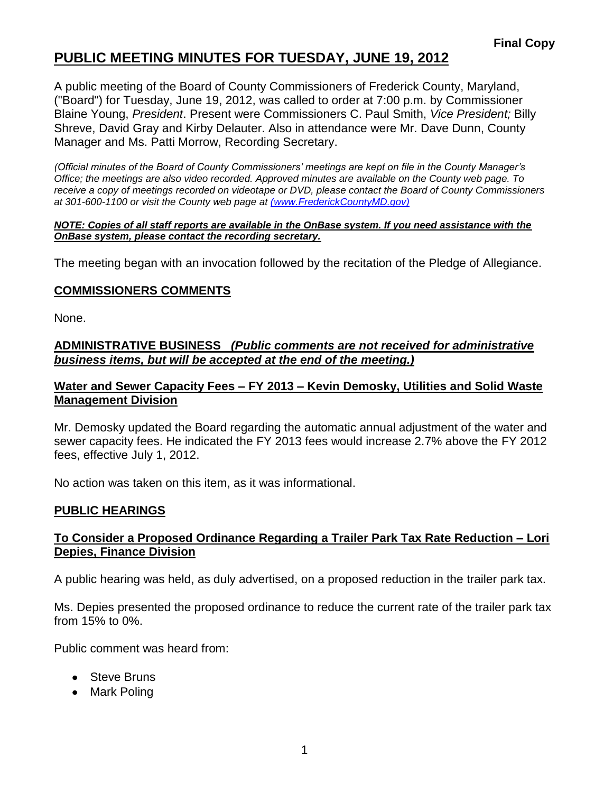### **PUBLIC MEETING MINUTES FOR TUESDAY, JUNE 19, 2012**

A public meeting of the Board of County Commissioners of Frederick County, Maryland, ("Board") for Tuesday, June 19, 2012, was called to order at 7:00 p.m. by Commissioner Blaine Young, *President*. Present were Commissioners C. Paul Smith, *Vice President;* Billy Shreve, David Gray and Kirby Delauter. Also in attendance were Mr. Dave Dunn, County Manager and Ms. Patti Morrow, Recording Secretary.

*(Official minutes of the Board of County Commissioners' meetings are kept on file in the County Manager's Office; the meetings are also video recorded. Approved minutes are available on the County web page. To receive a copy of meetings recorded on videotape or DVD, please contact the Board of County Commissioners at 301-600-1100 or visit the County web page at [\(www.FrederickCountyMD.gov\)](file://NT1S5/BOCC/BOCC/BOCC%20Minutes/Patti)*

#### *NOTE: Copies of all staff reports are available in the OnBase system. If you need assistance with the OnBase system, please contact the recording secretary.*

The meeting began with an invocation followed by the recitation of the Pledge of Allegiance.

### **COMMISSIONERS COMMENTS**

None.

#### **ADMINISTRATIVE BUSINESS** *(Public comments are not received for administrative business items, but will be accepted at the end of the meeting.)*

### **Water and Sewer Capacity Fees – FY 2013 – Kevin Demosky, Utilities and Solid Waste Management Division**

Mr. Demosky updated the Board regarding the automatic annual adjustment of the water and sewer capacity fees. He indicated the FY 2013 fees would increase 2.7% above the FY 2012 fees, effective July 1, 2012.

No action was taken on this item, as it was informational.

### **PUBLIC HEARINGS**

### **To Consider a Proposed Ordinance Regarding a Trailer Park Tax Rate Reduction – Lori Depies, Finance Division**

A public hearing was held, as duly advertised, on a proposed reduction in the trailer park tax.

Ms. Depies presented the proposed ordinance to reduce the current rate of the trailer park tax from 15% to 0%.

Public comment was heard from:

- Steve Bruns
- Mark Poling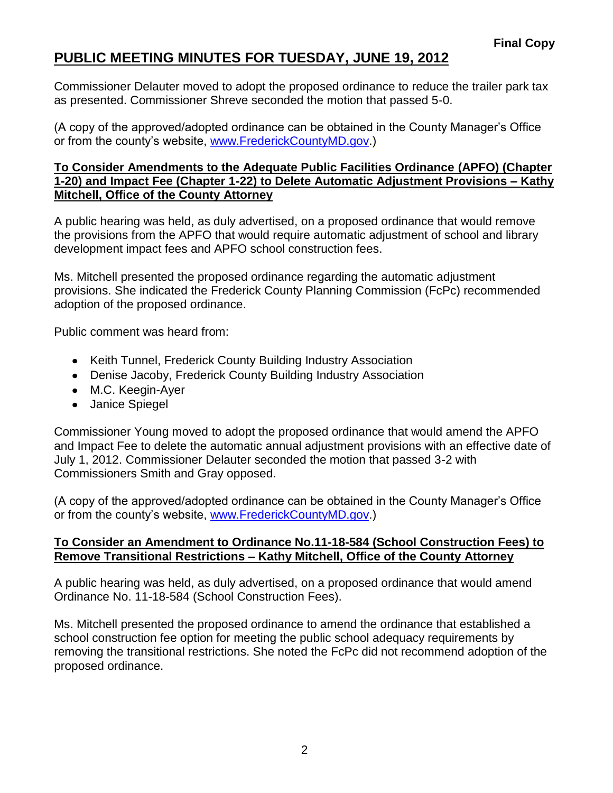## **PUBLIC MEETING MINUTES FOR TUESDAY, JUNE 19, 2012**

Commissioner Delauter moved to adopt the proposed ordinance to reduce the trailer park tax as presented. Commissioner Shreve seconded the motion that passed 5-0.

(A copy of the approved/adopted ordinance can be obtained in the County Manager's Office or from the county's website, [www.FrederickCountyMD.gov.](http://www.frederickcountymd.gov/))

### **To Consider Amendments to the Adequate Public Facilities Ordinance (APFO) (Chapter 1-20) and Impact Fee (Chapter 1-22) to Delete Automatic Adjustment Provisions – Kathy Mitchell, Office of the County Attorney**

A public hearing was held, as duly advertised, on a proposed ordinance that would remove the provisions from the APFO that would require automatic adjustment of school and library development impact fees and APFO school construction fees.

Ms. Mitchell presented the proposed ordinance regarding the automatic adjustment provisions. She indicated the Frederick County Planning Commission (FcPc) recommended adoption of the proposed ordinance.

Public comment was heard from:

- Keith Tunnel, Frederick County Building Industry Association
- Denise Jacoby, Frederick County Building Industry Association
- M.C. Keegin-Ayer
- Janice Spiegel

Commissioner Young moved to adopt the proposed ordinance that would amend the APFO and Impact Fee to delete the automatic annual adjustment provisions with an effective date of July 1, 2012. Commissioner Delauter seconded the motion that passed 3-2 with Commissioners Smith and Gray opposed.

(A copy of the approved/adopted ordinance can be obtained in the County Manager's Office or from the county's website, [www.FrederickCountyMD.gov.](http://www.frederickcountymd.gov/))

### **To Consider an Amendment to Ordinance No.11-18-584 (School Construction Fees) to Remove Transitional Restrictions – Kathy Mitchell, Office of the County Attorney**

A public hearing was held, as duly advertised, on a proposed ordinance that would amend Ordinance No. 11-18-584 (School Construction Fees).

Ms. Mitchell presented the proposed ordinance to amend the ordinance that established a school construction fee option for meeting the public school adequacy requirements by removing the transitional restrictions. She noted the FcPc did not recommend adoption of the proposed ordinance.